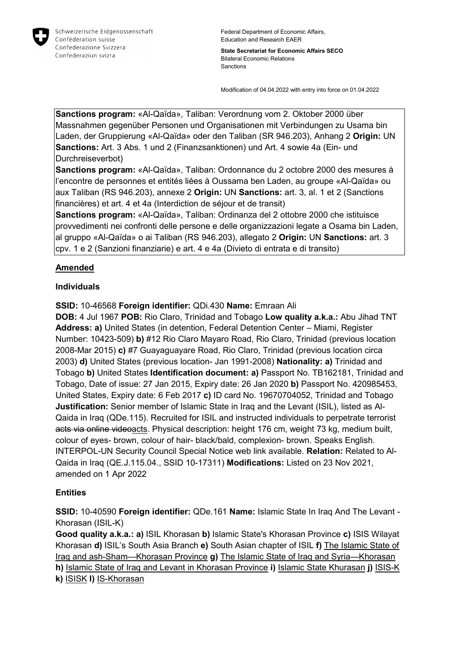

Federal Department of Economic Affairs, Education and Research EAER

**State Secretariat for Economic Affairs SECO** Bilateral Economic Relations Sanctions

Modification of 04.04.2022 with entry into force on 01.04.2022

**Sanctions program:** «Al-Qaïda», Taliban: Verordnung vom 2. Oktober 2000 über Massnahmen gegenüber Personen und Organisationen mit Verbindungen zu Usama bin Laden, der Gruppierung «Al-Qaïda» oder den Taliban (SR 946.203), Anhang 2 **Origin:** UN **Sanctions:** Art. 3 Abs. 1 und 2 (Finanzsanktionen) und Art. 4 sowie 4a (Ein- und Durchreiseverbot)

**Sanctions program:** «Al-Qaïda», Taliban: Ordonnance du 2 octobre 2000 des mesures à l'encontre de personnes et entités liées à Oussama ben Laden, au groupe «Al-Qaïda» ou aux Taliban (RS 946.203), annexe 2 **Origin:** UN **Sanctions:** art. 3, al. 1 et 2 (Sanctions financières) et art. 4 et 4a (Interdiction de séjour et de transit)

**Sanctions program:** «Al-Qaïda», Taliban: Ordinanza del 2 ottobre 2000 che istituisce provvedimenti nei confronti delle persone e delle organizzazioni legate a Osama bin Laden, al gruppo «Al-Qaïda» o ai Taliban (RS 946.203), allegato 2 **Origin:** UN **Sanctions:** art. 3 cpv. 1 e 2 (Sanzioni finanziarie) e art. 4 e 4a (Divieto di entrata e di transito)

## **Amended**

## **Individuals**

**SSID:** 10-46568 **Foreign identifier:** QDi.430 **Name:** Emraan Ali

**DOB:** 4 Jul 1967 **POB:** Rio Claro, Trinidad and Tobago **Low quality a.k.a.:** Abu Jihad TNT **Address: a)** United States (in detention, Federal Detention Center – Miami, Register Number: 10423-509) **b)** #12 Rio Claro Mayaro Road, Rio Claro, Trinidad (previous location 2008-Mar 2015) **c)** #7 Guayaguayare Road, Rio Claro, Trinidad (previous location circa 2003) **d)** United States (previous location- Jan 1991-2008) **Nationality: a)** Trinidad and Tobago **b)** United States **Identification document: a)** Passport No. TB162181, Trinidad and Tobago, Date of issue: 27 Jan 2015, Expiry date: 26 Jan 2020 **b)** Passport No. 420985453, United States, Expiry date: 6 Feb 2017 **c)** ID card No. 19670704052, Trinidad and Tobago **Justification:** Senior member of Islamic State in Iraq and the Levant (ISIL), listed as Al-Qaida in Iraq (QDe.115). Recruited for ISIL and instructed individuals to perpetrate terrorist acts via online videoacts. Physical description: height 176 cm, weight 73 kg, medium built, colour of eyes- brown, colour of hair- black/bald, complexion- brown. Speaks English. INTERPOL-UN Security Council Special Notice web link available. **Relation:** Related to Al-Qaida in Iraq (QE.J.115.04., SSID 10-17311) **Modifications:** Listed on 23 Nov 2021, amended on 1 Apr 2022

## **Entities**

**SSID:** 10-40590 **Foreign identifier:** QDe.161 **Name:** Islamic State In Iraq And The Levant - Khorasan (ISIL-K)

**Good quality a.k.a.: a)** ISIL Khorasan **b)** Islamic State's Khorasan Province **c)** ISIS Wilayat Khorasan **d)** ISIL's South Asia Branch **e)** South Asian chapter of ISIL **f)** The Islamic State of Iraq and ash-Sham—Khorasan Province **g)** The Islamic State of Iraq and Syria—Khorasan **h)** Islamic State of Iraq and Levant in Khorasan Province **i)** Islamic State Khurasan **j)** ISIS-K **k)** ISISK **l)** IS-Khorasan